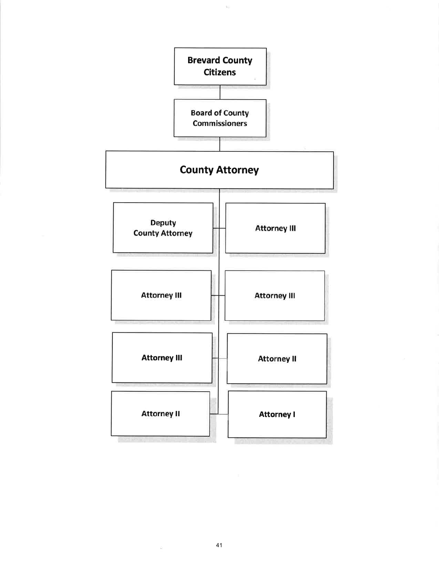

 $\bar{\chi}^{\prime}_{\rm eff}$ 

 $41$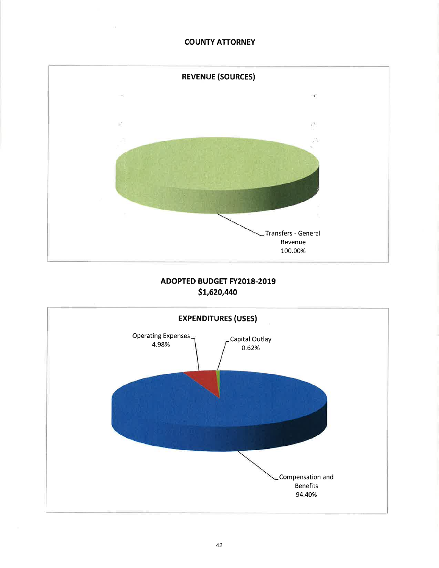## COUNTY ATTORNEY



# ADOPTED BUDGET FY2018-2019 st,620,440

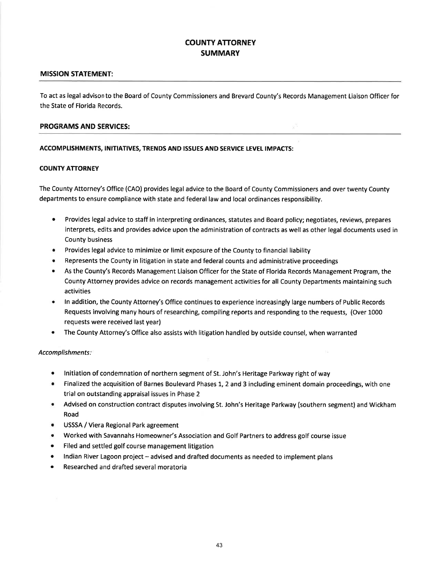# COUNTY ATTORNEY **SUMMARY**

### MISSION STATEMENT:

To act as legal advison to the Board of County Commissioners and Brevard County's Records Management Liaison Officer for the State of Florida Records.

### PROGRAMS AND SERVICES:

### ACCOMPLISHMENTS, INITIATIVES, TRENDS AND ISSUES AND SERVICE LEVEL IMPACTS:

### **COUNTY ATTORNEY**

The County Attorney's Office (CAO) provides legal advice to the Board of County Commissioners and over twenty County departments to ensure compliance with state and federal law and local ordinances responsibility.

- o Provides legal advice to staff in interpreting ordinances, statutes and Board policy; negotiates, reviews, prepares interprets, edits and provides advice upon the administration of contracts as well as other legal documents used in County business
- Provides legal advice to minimize or limit exposure of the County to financial liability
- . Represents the County in litigation in state and federal counts and administrative proceedings
- As the County's Records Management Liaison Officer for the State of Florida Records Management Program, the County Attorney provides advice on records management activities for all County Departments maintaining such activities
- **•** In addition, the County Attorney's Office continues to experience increasingly large numbers of Public Records Requests involving many hours of researching, compiling reports and responding to the requests, (Over 1000 requests were received last year)
- The County Attorney's Office also assists with litigation handled by outside counsel, when warranted

### Accomplishments:

- Initiation of condemnation of northern segment of St. John's Heritage Parkway right of way
- o Finalized the acquisition of Barnes Boulevard Phases 1,2 and 3 including eminent domain proceedings, with one trial on outstanding appraisal issues in Phase 2
- Advised on construction contract disputes involving St. John's Heritage Parkway (southern segment) and Wickham Road
- USSSA / Viera Regional Park agreement
- Worked with Savannahs Homeowner's Association and Golf Partners to address golf course issue
- Filed and settled golf course management litigation
- Indian River Lagoon project advised and drafted documents as needed to implement plans
- Researched and drafted several moratoria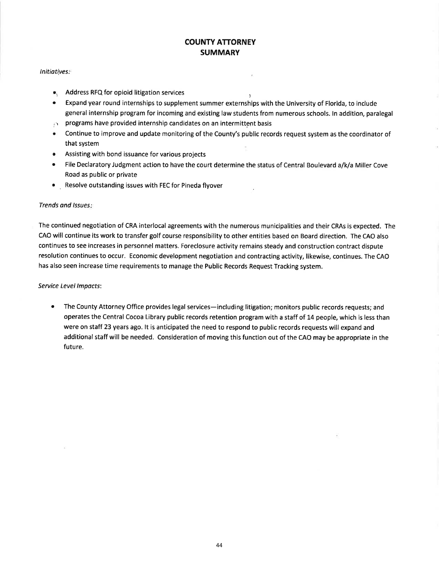# COUNTY ATTORNEY **SUMMARY**

#### Initiatives:

- $\bullet$ , Address RFQ for opioid litigation services
- . Expand year round internships to supplement summer externships with the University of Florida, to include general internship program for incoming and existing law students from numerous schools. ln addition, paralegal
- $\dot{\odot}$  programs have provided internship candidates on an intermittent basis
- **•** Continue to improve and update monitoring of the County's public records request system as the coordinator of that system
- **Assisting with bond issuance for various projects**
- o File Declaratory Judgment action to have the court determine the status of Central Boulevard a/k/a Miller Cove Road as public or private
- o Resolve outstanding issues with FEC for Pineda flyover

#### Trends ond Issues

The continued negotiation of CRA interlocal agreements with the numerous municipalities and their CRAs is expected. The CAO will continue its work to transfer golf course responsibility to other entities based on Board direction. The CAO also continues to see increases in personnel matters. Foreclosure activity remains steady and construction contract dispute resolution continues to occur. Economic development negotiation and contracting activity, likewise, continues. The CAO has also seen increase time requirements to manage the Public Records Request Tracking system.

#### Seruice Level lmpacts:

The County Attorney Office provides legal services-including litigation; monitors public records requests; and operates the Central Cocoa Library public records retention program with a staff of 14 people, which is less than were on staff 23 years ago. lt is anticipated the need to respond to public records requests will expand and additional staff will be needed. Consideration of moving this function out of the CAO may be appropriate in the future. a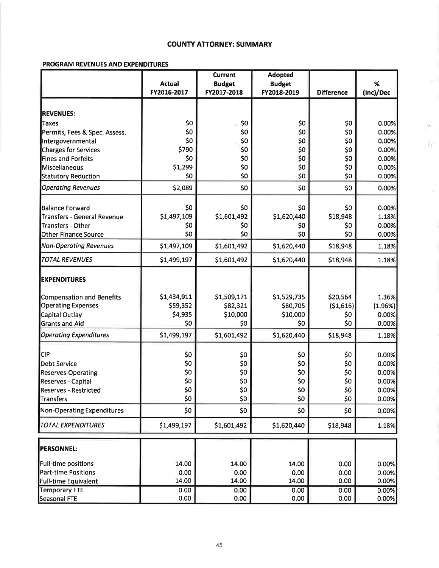# **COUNTY ATTORNEY: SUMMARY**

 $\langle \mathcal{O}_F \rangle$ 

 $\chi_{\rm T}$ 

Y.

## PROGRAM REVENUES AND EXPENDITURES

|                                   |               | <b>Current</b> | <b>Adopted</b> |                   |           |
|-----------------------------------|---------------|----------------|----------------|-------------------|-----------|
|                                   | <b>Actual</b> | <b>Budget</b>  | <b>Budget</b>  |                   | %         |
|                                   | FY2016-2017   | FY2017-2018    | FY2018-2019    | <b>Difference</b> | (Inc)/Dec |
|                                   |               |                |                |                   |           |
| <b>REVENUES:</b>                  |               |                |                |                   |           |
| Taxes                             | \$0           | \$0            | \$0            | \$0               | 0.00%     |
| Permits, Fees & Spec. Assess.     | \$0           | \$0            | \$0            | \$0               | 0.00%     |
| Intergovernmental                 | \$0           | \$0            | \$0            | \$0               | 0.00%     |
| <b>Charges for Services</b>       | \$790         | \$0            | \$0            | \$0               | 0.00%     |
| Fines and Forfeits                | \$0           | \$0            | \$0            | \$0               | 0.00%     |
| Miscellaneous                     | \$1,299       | \$0            | \$0            | \$0               | 0.00%     |
| Statutory Reduction               | \$0           | \$0            | \$0            | \$0               | 0.00%     |
| <b>Operating Revenues</b>         | \$2,089       | \$0            | \$0            | \$0               | 0.00%     |
| Balance Forward                   | \$0           | \$0            | \$0            | \$0               | 0.00%     |
| Transfers - General Revenue       | \$1,497,109   | \$1,601,492    | \$1,620,440    | \$18,948          | 1.18%     |
| Transfers - Other                 | \$0           | \$0            | \$0            | \$0               | 0.00%     |
| Other Finance Source              | \$0           | \$0            | \$0            | \$0               | 0.00%     |
| <b>Non-Operating Revenues</b>     | \$1,497,109   | \$1,601,492    | \$1,620,440    | \$18,948          | 1.18%     |
| <b>TOTAL REVENUES</b>             | \$1,499,197   | \$1,601,492    | \$1,620,440    | \$18,948          | 1.18%     |
|                                   |               |                |                |                   |           |
| <b>EXPENDITURES</b>               |               |                |                |                   |           |
| Compensation and Benefits         | \$1,434,911   | \$1,509,171    | \$1,529,735    | \$20,564          | 1.36%     |
| <b>Operating Expenses</b>         | \$59,352      | \$82,321       | \$80,705       | (51,616)          | (1.96%)   |
| Capital Outlay                    | \$4,935       | \$10,000       | \$10,000       | \$0               | 0.00%     |
| <b>Grants and Aid</b>             | \$0           | \$0            | \$0            | \$0               | 0.00%     |
| <b>Operating Expenditures</b>     | \$1,499,197   | \$1,601,492    | \$1,620,440    | \$18,948          | 1.18%     |
|                                   |               |                |                |                   |           |
| <b>CIP</b>                        | \$0           | \$0            | \$0            | \$0               | 0.00%     |
| <b>Debt Service</b>               | \$0           | \$0            | \$0            | \$0               | 0.00%     |
| Reserves-Operating                | \$0           | \$0            | \$0            | \$0               | 0.00%     |
| Reserves - Capital                | \$0           | \$0            | \$0            | \$0               | 0.00%     |
| <b>Reserves - Restricted</b>      | \$0           | \$0            | \$0            | \$0               | 0.00%     |
| <b>Transfers</b>                  | \$0           | \$0            | \$0            | \$0               | 0.00%     |
| <b>Non-Operating Expenditures</b> | \$0           | \$0            | \$0            | \$0               | 0.00%     |
| <b>TOTAL EXPENDITURES</b>         | \$1,499,197   | \$1,601,492    | \$1,620,440    | \$18,948          | 1.18%     |
|                                   |               |                |                |                   |           |
| <b>PERSONNEL:</b>                 |               |                |                |                   |           |
| Full-time positions               | 14.00         | 14.00          | 14.00          | 0.00              | 0.00%     |
| <b>Part-time Positions</b>        | 0.00          | 0.00           | 0.00           | 0.00              | 0.00%     |
| <b>Full-time Equivalent</b>       | 14.00         | 14.00          | 14.00          | 0.00              | 0.00%     |
| <b>Temporary FTE</b>              | 0.00          | 0.00           | 0.00           | 0.00              | 0.00%     |
| <b>Seasonal FTE</b>               | 0.00          | 0.00           | 0.00           | 0.00              | 0.00%     |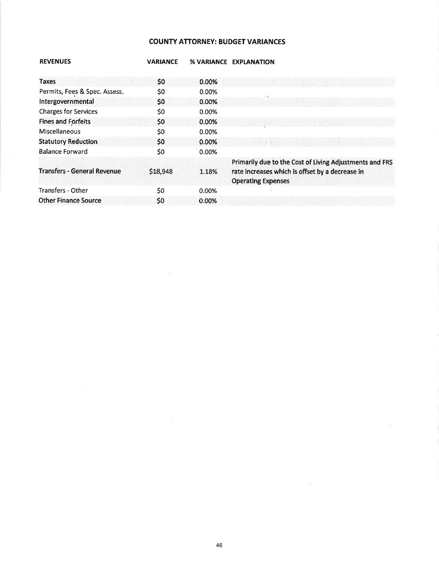# **COUNTY ATTORNEY: BUDGET VARIANCES**

| <b>REVENUES</b>                    | <b>VARIANCE</b> |          | % VARIANCE EXPLANATION                                  |
|------------------------------------|-----------------|----------|---------------------------------------------------------|
|                                    |                 |          |                                                         |
| <b>Taxes</b>                       | \$0             | 0.00%    |                                                         |
| Permits, Fees & Spec. Assess.      | \$0             | 0.00%    |                                                         |
| Intergovernmental                  | \$0             | 0.00%    |                                                         |
| <b>Charges for Services</b>        | \$0             | 0.00%    |                                                         |
| <b>Fines and Forfeits</b>          | \$0             | 0.00%    |                                                         |
| Miscellaneous                      | \$0             | 0.00%    |                                                         |
| <b>Statutory Reduction</b>         | \$0             | 0.00%    |                                                         |
| <b>Balance Forward</b>             | \$0             | 0.00%    |                                                         |
|                                    |                 |          | Primarily due to the Cost of Living Adjustments and FRS |
| <b>Transfers - General Revenue</b> | \$18,948        | 1.18%    | rate increases which is offset by a decrease in         |
|                                    |                 |          | <b>Operating Expenses</b>                               |
| <b>Transfers - Other</b>           | \$0             | $0.00\%$ |                                                         |
| <b>Other Finance Source</b>        | \$0             | $0.00\%$ |                                                         |
|                                    |                 |          |                                                         |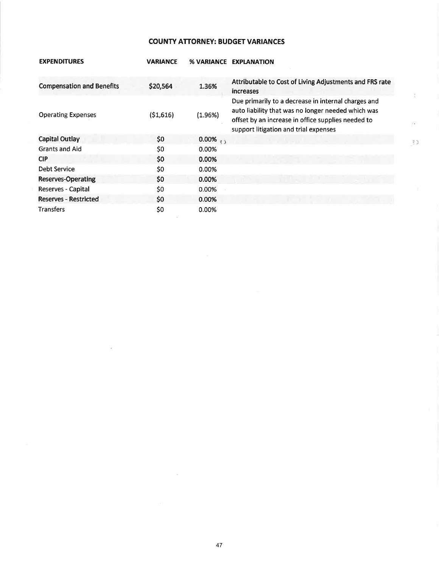## **COUNTY ATTORNEY: BUDGET VARIANCES**

| <b>EXPENDITURES</b>              | <b>VARIANCE</b> |                         | % VARIANCE EXPLANATION                                                                                                                                                                                   |
|----------------------------------|-----------------|-------------------------|----------------------------------------------------------------------------------------------------------------------------------------------------------------------------------------------------------|
| <b>Compensation and Benefits</b> | \$20,564        | 1.36%                   | Attributable to Cost of Living Adjustments and FRS rate<br>increases                                                                                                                                     |
| <b>Operating Expenses</b>        | (51,616)        | (1.96%)                 | Due primarily to a decrease in internal charges and<br>auto liability that was no longer needed which was<br>offset by an increase in office supplies needed to<br>support litigation and trial expenses |
| <b>Capital Outlay</b>            | \$0             | $0.00\%$ <sub>2.1</sub> |                                                                                                                                                                                                          |
| <b>Grants and Aid</b>            | \$0             | 0.00%                   |                                                                                                                                                                                                          |
| <b>CIP</b>                       | \$0             | 0.00%                   |                                                                                                                                                                                                          |
| Debt Service                     | \$0             | 0.00%                   |                                                                                                                                                                                                          |
| <b>Reserves-Operating</b>        | \$0             | 0.00%                   |                                                                                                                                                                                                          |
| Reserves - Capital               | \$0             | 0.00%                   |                                                                                                                                                                                                          |
| <b>Reserves - Restricted</b>     | \$0             | 0.00%                   |                                                                                                                                                                                                          |
| <b>Transfers</b>                 | \$0             | 0.00%                   |                                                                                                                                                                                                          |

÷,

 $\mathbb{R}^3$ 

 $C_{2}$ .

 $\overline{\mathbb{R}}$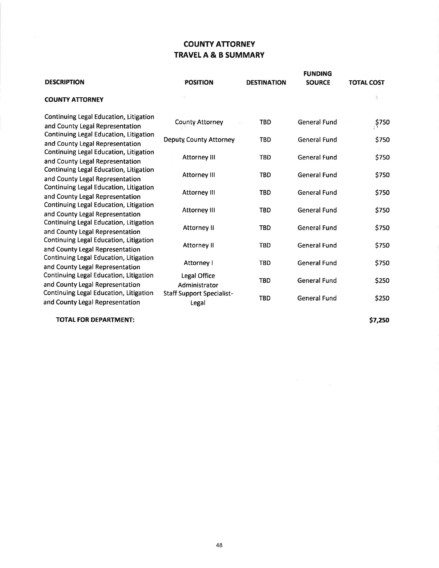# **COUNTY ATTORNEY TRAVEL A & B SUMMARY**

| <b>DESCRIPTION</b>                                                                                                                                     | <b>POSITION</b>                           | <b>DESTINATION</b> | <b>FUNDING</b><br><b>SOURCE</b> | <b>TOTAL COST</b> |
|--------------------------------------------------------------------------------------------------------------------------------------------------------|-------------------------------------------|--------------------|---------------------------------|-------------------|
| <b>COUNTY ATTORNEY</b>                                                                                                                                 |                                           |                    |                                 |                   |
| Continuing Legal Education, Litigation<br>and County Legal Representation                                                                              | <b>County Attorney</b>                    | TBD                | <b>General Fund</b>             | \$750             |
| Continuing Legal Education, Litigation<br>and County Legal Representation                                                                              | <b>Deputy County Attorney</b>             | <b>TBD</b>         | General Fund                    | \$750             |
| Continuing Legal Education, Litigation<br>and County Legal Representation                                                                              | Attorney III                              | <b>TBD</b>         | <b>General Fund</b>             | \$750             |
| Continuing Legal Education, Litigation<br>and County Legal Representation<br>Continuing Legal Education, Litigation<br>and County Legal Representation | <b>Attorney III</b>                       | <b>TBD</b>         | <b>General Fund</b>             | \$750             |
|                                                                                                                                                        | Attorney III                              | <b>TBD</b>         | <b>General Fund</b>             | \$750             |
| Continuing Legal Education, Litigation<br>and County Legal Representation                                                                              | <b>Attorney III</b>                       | <b>TBD</b>         | <b>General Fund</b>             | \$750             |
| Continuing Legal Education, Litigation<br>and County Legal Representation                                                                              | Attorney II                               | <b>TBD</b>         | <b>General Fund</b>             | \$750             |
| Continuing Legal Education, Litigation<br>and County Legal Representation                                                                              | Attorney II                               | <b>TBD</b>         | <b>General Fund</b>             | \$750             |
| Continuing Legal Education, Litigation<br>and County Legal Representation                                                                              | Attorney I                                | <b>TBD</b>         | <b>General Fund</b>             | \$750             |
| Continuing Legal Education, Litigation<br>and County Legal Representation                                                                              | Legal Office<br>Administrator             | <b>TBD</b>         | <b>General Fund</b>             | \$250             |
| Continuing Legal Education, Litigation<br>and County Legal Representation                                                                              | <b>Staff Support Specialist-</b><br>Legal | <b>TBD</b>         | <b>General Fund</b>             | \$250             |
|                                                                                                                                                        |                                           |                    |                                 |                   |

**TOTAL FOR DEPARTMENT:** 

\$7,250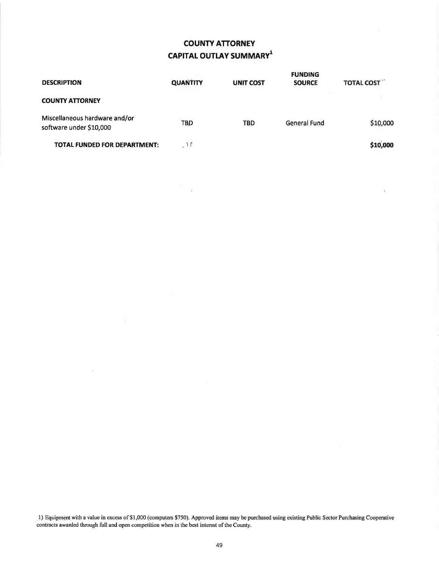# COUNTY ATTORNEY CAPITAL OUTLAY SUMMARY<sup>1</sup>

| <b>DESCRIPTION</b>                                       | <b>QUANTITY</b> | <b>UNIT COST</b> | <b>FUNDING</b><br><b>SOURCE</b> | <b>TOTAL COST</b> |
|----------------------------------------------------------|-----------------|------------------|---------------------------------|-------------------|
| <b>COUNTY ATTORNEY</b>                                   |                 |                  |                                 |                   |
| Miscellaneous hardware and/or<br>software under \$10,000 | <b>TBD</b>      | <b>TBD</b>       | General Fund                    | \$10,000          |
| <b>TOTAL FUNDED FOR DEPARTMENT:</b>                      | $\mathcal{M}$   |                  |                                 | \$10,000          |

 $\overline{\alpha}$ 

 $\overline{\alpha}$ 

 $\mathcal{A}$ 

l) Equipment with a value in excess of\$1,000 (computers \$750). Approved items may be purchased using existing Public Sector Purchasing Cooperative contracts awatded through full and open competition when in the best interest of the County.